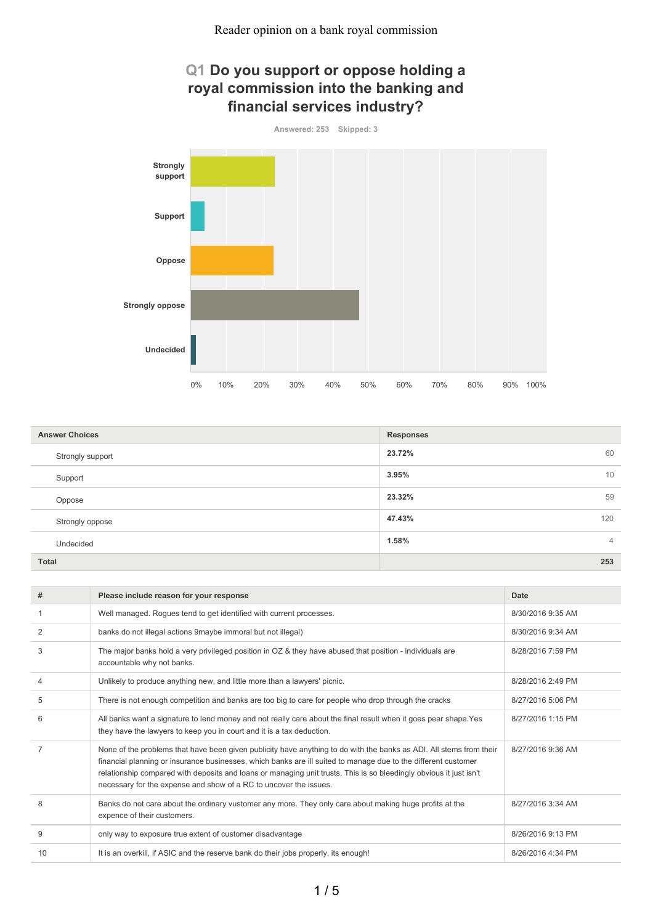# **Q1 Do you support or oppose holding a royal commission into the banking and financial services industry?**

**Answered: 253 Skipped: 3**



| <b>Answer Choices</b> | <b>Responses</b>        |
|-----------------------|-------------------------|
| Strongly support      | 23.72%<br>60            |
| Support               | 3.95%<br>10             |
| Oppose                | 23.32%<br>59            |
| Strongly oppose       | 47.43%<br>120           |
| Undecided             | 1.58%<br>$\overline{4}$ |
| <b>Total</b>          | 253                     |

| #  | Please include reason for your response                                                                                                                                                                                                                                                                                                                                                                                          | Date              |
|----|----------------------------------------------------------------------------------------------------------------------------------------------------------------------------------------------------------------------------------------------------------------------------------------------------------------------------------------------------------------------------------------------------------------------------------|-------------------|
|    | Well managed. Rogues tend to get identified with current processes.                                                                                                                                                                                                                                                                                                                                                              | 8/30/2016 9:35 AM |
| 2  | banks do not illegal actions 9maybe immoral but not illegal)                                                                                                                                                                                                                                                                                                                                                                     | 8/30/2016 9:34 AM |
| 3  | The major banks hold a very privileged position in OZ & they have abused that position - individuals are<br>accountable why not banks.                                                                                                                                                                                                                                                                                           | 8/28/2016 7:59 PM |
| 4  | Unlikely to produce anything new, and little more than a lawyers' picnic.                                                                                                                                                                                                                                                                                                                                                        | 8/28/2016 2:49 PM |
| 5  | There is not enough competition and banks are too big to care for people who drop through the cracks                                                                                                                                                                                                                                                                                                                             | 8/27/2016 5:06 PM |
| 6  | All banks want a signature to lend money and not really care about the final result when it goes pear shape. Yes<br>they have the lawyers to keep you in court and it is a tax deduction.                                                                                                                                                                                                                                        | 8/27/2016 1:15 PM |
| 7  | None of the problems that have been given publicity have anything to do with the banks as ADI. All stems from their<br>financial planning or insurance businesses, which banks are ill suited to manage due to the different customer<br>relationship compared with deposits and loans or managing unit trusts. This is so bleedingly obvious it just isn't<br>necessary for the expense and show of a RC to uncover the issues. | 8/27/2016 9:36 AM |
| 8  | Banks do not care about the ordinary vustomer any more. They only care about making huge profits at the<br>expence of their customers.                                                                                                                                                                                                                                                                                           | 8/27/2016 3:34 AM |
| 9  | only way to exposure true extent of customer disadvantage                                                                                                                                                                                                                                                                                                                                                                        | 8/26/2016 9:13 PM |
| 10 | It is an overkill, if ASIC and the reserve bank do their jobs properly, its enough!                                                                                                                                                                                                                                                                                                                                              | 8/26/2016 4:34 PM |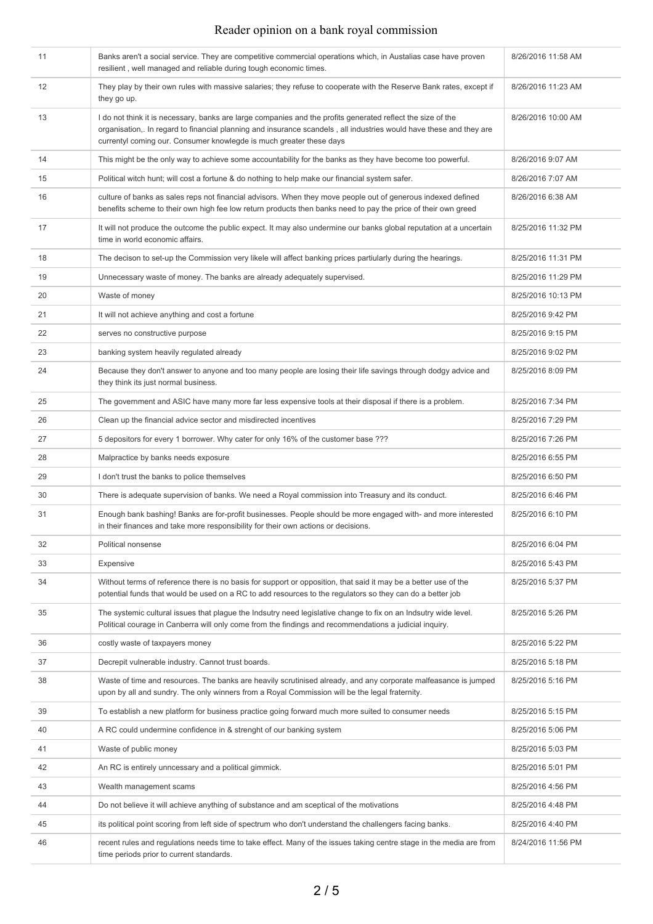| 11 | Banks aren't a social service. They are competitive commercial operations which, in Austalias case have proven<br>resilient, well managed and reliable during tough economic times.                                                                                                                       | 8/26/2016 11:58 AM |
|----|-----------------------------------------------------------------------------------------------------------------------------------------------------------------------------------------------------------------------------------------------------------------------------------------------------------|--------------------|
| 12 | They play by their own rules with massive salaries; they refuse to cooperate with the Reserve Bank rates, except if<br>they go up.                                                                                                                                                                        | 8/26/2016 11:23 AM |
| 13 | I do not think it is necessary, banks are large companies and the profits generated reflect the size of the<br>organisation,. In regard to financial planning and insurance scandels, all industries would have these and they are<br>currentyl coming our. Consumer knowlegde is much greater these days | 8/26/2016 10:00 AM |
| 14 | This might be the only way to achieve some accountability for the banks as they have become too powerful.                                                                                                                                                                                                 | 8/26/2016 9:07 AM  |
| 15 | Political witch hunt; will cost a fortune & do nothing to help make our financial system safer.                                                                                                                                                                                                           | 8/26/2016 7:07 AM  |
| 16 | culture of banks as sales reps not financial advisors. When they move people out of generous indexed defined<br>benefits scheme to their own high fee low return products then banks need to pay the price of their own greed                                                                             | 8/26/2016 6:38 AM  |
| 17 | It will not produce the outcome the public expect. It may also undermine our banks global reputation at a uncertain<br>time in world economic affairs.                                                                                                                                                    | 8/25/2016 11:32 PM |
| 18 | The decison to set-up the Commission very likele will affect banking prices partiularly during the hearings.                                                                                                                                                                                              | 8/25/2016 11:31 PM |
| 19 | Unnecessary waste of money. The banks are already adequately supervised.                                                                                                                                                                                                                                  | 8/25/2016 11:29 PM |
| 20 | Waste of money                                                                                                                                                                                                                                                                                            | 8/25/2016 10:13 PM |
| 21 | It will not achieve anything and cost a fortune                                                                                                                                                                                                                                                           | 8/25/2016 9:42 PM  |
| 22 | serves no constructive purpose                                                                                                                                                                                                                                                                            | 8/25/2016 9:15 PM  |
| 23 | banking system heavily regulated already                                                                                                                                                                                                                                                                  | 8/25/2016 9:02 PM  |
| 24 | Because they don't answer to anyone and too many people are losing their life savings through dodgy advice and<br>they think its just normal business.                                                                                                                                                    | 8/25/2016 8:09 PM  |
| 25 | The government and ASIC have many more far less expensive tools at their disposal if there is a problem.                                                                                                                                                                                                  | 8/25/2016 7:34 PM  |
| 26 | Clean up the financial advice sector and misdirected incentives                                                                                                                                                                                                                                           | 8/25/2016 7:29 PM  |
| 27 | 5 depositors for every 1 borrower. Why cater for only 16% of the customer base ???                                                                                                                                                                                                                        | 8/25/2016 7:26 PM  |
| 28 | Malpractice by banks needs exposure                                                                                                                                                                                                                                                                       | 8/25/2016 6:55 PM  |
| 29 | I don't trust the banks to police themselves                                                                                                                                                                                                                                                              | 8/25/2016 6:50 PM  |
| 30 | There is adequate supervision of banks. We need a Royal commission into Treasury and its conduct.                                                                                                                                                                                                         | 8/25/2016 6:46 PM  |
| 31 | Enough bank bashing! Banks are for-profit businesses. People should be more engaged with- and more interested<br>in their finances and take more responsibility for their own actions or decisions.                                                                                                       | 8/25/2016 6:10 PM  |
| 32 | Political nonsense                                                                                                                                                                                                                                                                                        | 8/25/2016 6:04 PM  |
| 33 | Expensive                                                                                                                                                                                                                                                                                                 | 8/25/2016 5:43 PM  |
| 34 | Without terms of reference there is no basis for support or opposition, that said it may be a better use of the<br>potential funds that would be used on a RC to add resources to the regulators so they can do a better job                                                                              | 8/25/2016 5:37 PM  |
| 35 | The systemic cultural issues that plague the Indsutry need legislative change to fix on an Indsutry wide level.<br>Political courage in Canberra will only come from the findings and recommendations a judicial inquiry.                                                                                 | 8/25/2016 5:26 PM  |
| 36 | costly waste of taxpayers money                                                                                                                                                                                                                                                                           | 8/25/2016 5:22 PM  |
| 37 | Decrepit vulnerable industry. Cannot trust boards.                                                                                                                                                                                                                                                        | 8/25/2016 5:18 PM  |
| 38 | Waste of time and resources. The banks are heavily scrutinised already, and any corporate malfeasance is jumped<br>upon by all and sundry. The only winners from a Royal Commission will be the legal fraternity.                                                                                         | 8/25/2016 5:16 PM  |
| 39 | To establish a new platform for business practice going forward much more suited to consumer needs                                                                                                                                                                                                        | 8/25/2016 5:15 PM  |
| 40 | A RC could undermine confidence in & strenght of our banking system                                                                                                                                                                                                                                       | 8/25/2016 5:06 PM  |
| 41 | Waste of public money                                                                                                                                                                                                                                                                                     | 8/25/2016 5:03 PM  |
| 42 | An RC is entirely unncessary and a political gimmick.                                                                                                                                                                                                                                                     | 8/25/2016 5:01 PM  |
| 43 | Wealth management scams                                                                                                                                                                                                                                                                                   | 8/25/2016 4:56 PM  |
| 44 | Do not believe it will achieve anything of substance and am sceptical of the motivations                                                                                                                                                                                                                  | 8/25/2016 4:48 PM  |
| 45 | its political point scoring from left side of spectrum who don't understand the challengers facing banks.                                                                                                                                                                                                 | 8/25/2016 4:40 PM  |
| 46 | recent rules and regulations needs time to take effect. Many of the issues taking centre stage in the media are from<br>time periods prior to current standards.                                                                                                                                          | 8/24/2016 11:56 PM |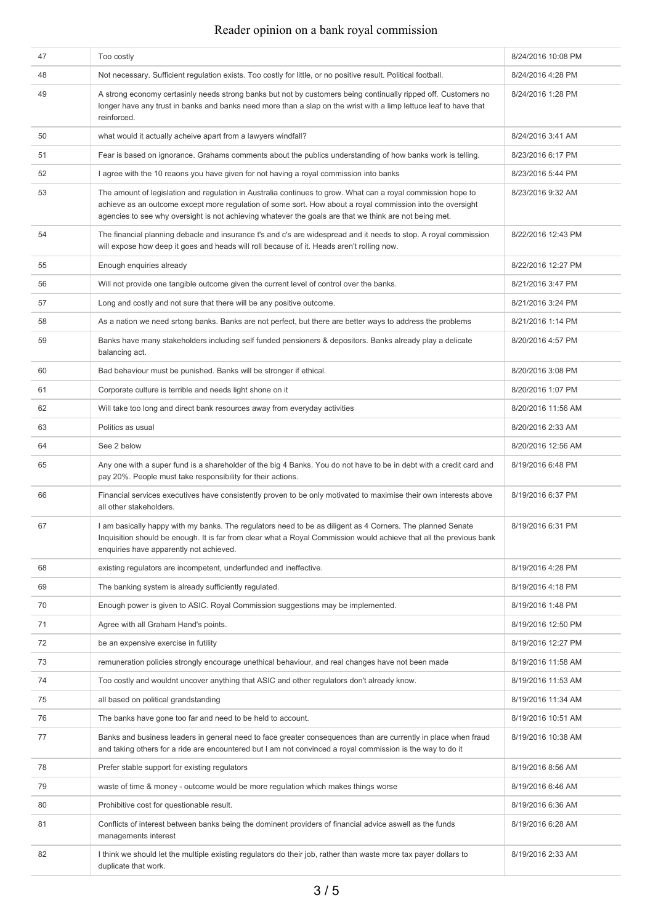| 47 | Too costly                                                                                                                                                                                                                                                                                                                           | 8/24/2016 10:08 PM |
|----|--------------------------------------------------------------------------------------------------------------------------------------------------------------------------------------------------------------------------------------------------------------------------------------------------------------------------------------|--------------------|
| 48 | Not necessary. Sufficient regulation exists. Too costly for little, or no positive result. Political football.                                                                                                                                                                                                                       | 8/24/2016 4:28 PM  |
| 49 | A strong economy certasinly needs strong banks but not by customers being continually ripped off. Customers no<br>longer have any trust in banks and banks need more than a slap on the wrist with a limp lettuce leaf to have that<br>reinforced.                                                                                   | 8/24/2016 1:28 PM  |
| 50 | what would it actually acheive apart from a lawyers windfall?                                                                                                                                                                                                                                                                        | 8/24/2016 3:41 AM  |
| 51 | Fear is based on ignorance. Grahams comments about the publics understanding of how banks work is telling.                                                                                                                                                                                                                           | 8/23/2016 6:17 PM  |
| 52 | I agree with the 10 reaons you have given for not having a royal commission into banks                                                                                                                                                                                                                                               | 8/23/2016 5:44 PM  |
| 53 | The amount of legislation and regulation in Australia continues to grow. What can a royal commission hope to<br>achieve as an outcome except more regulation of some sort. How about a royal commission into the oversight<br>agencies to see why oversight is not achieving whatever the goals are that we think are not being met. | 8/23/2016 9:32 AM  |
| 54 | The financial planning debacle and insurance t's and c's are widespread and it needs to stop. A royal commission<br>will expose how deep it goes and heads will roll because of it. Heads aren't rolling now.                                                                                                                        | 8/22/2016 12:43 PM |
| 55 | Enough enquiries already                                                                                                                                                                                                                                                                                                             | 8/22/2016 12:27 PM |
| 56 | Will not provide one tangible outcome given the current level of control over the banks.                                                                                                                                                                                                                                             | 8/21/2016 3:47 PM  |
| 57 | Long and costly and not sure that there will be any positive outcome.                                                                                                                                                                                                                                                                | 8/21/2016 3:24 PM  |
| 58 | As a nation we need srtong banks. Banks are not perfect, but there are better ways to address the problems                                                                                                                                                                                                                           | 8/21/2016 1:14 PM  |
| 59 | Banks have many stakeholders including self funded pensioners & depositors. Banks already play a delicate<br>balancing act.                                                                                                                                                                                                          | 8/20/2016 4:57 PM  |
| 60 | Bad behaviour must be punished. Banks will be stronger if ethical.                                                                                                                                                                                                                                                                   | 8/20/2016 3:08 PM  |
| 61 | Corporate culture is terrible and needs light shone on it                                                                                                                                                                                                                                                                            | 8/20/2016 1:07 PM  |
| 62 | Will take too long and direct bank resources away from everyday activities                                                                                                                                                                                                                                                           | 8/20/2016 11:56 AM |
| 63 | Politics as usual                                                                                                                                                                                                                                                                                                                    | 8/20/2016 2:33 AM  |
| 64 | See 2 below                                                                                                                                                                                                                                                                                                                          | 8/20/2016 12:56 AM |
| 65 | Any one with a super fund is a shareholder of the big 4 Banks. You do not have to be in debt with a credit card and<br>pay 20%. People must take responsibility for their actions.                                                                                                                                                   | 8/19/2016 6:48 PM  |
| 66 | Financial services executives have consistently proven to be only motivated to maximise their own interests above<br>all other stakeholders.                                                                                                                                                                                         | 8/19/2016 6:37 PM  |
| 67 | I am basically happy with my banks. The regulators need to be as diligent as 4 Corners. The planned Senate<br>Inquisition should be enough. It is far from clear what a Royal Commission would achieve that all the previous bank<br>enquiries have apparently not achieved.                                                         | 8/19/2016 6:31 PM  |
| 68 | existing regulators are incompetent, underfunded and ineffective.                                                                                                                                                                                                                                                                    | 8/19/2016 4:28 PM  |
| 69 | The banking system is already sufficiently regulated.                                                                                                                                                                                                                                                                                | 8/19/2016 4:18 PM  |
| 70 | Enough power is given to ASIC. Royal Commission suggestions may be implemented.                                                                                                                                                                                                                                                      | 8/19/2016 1:48 PM  |
| 71 | Agree with all Graham Hand's points.                                                                                                                                                                                                                                                                                                 | 8/19/2016 12:50 PM |
| 72 | be an expensive exercise in futility                                                                                                                                                                                                                                                                                                 | 8/19/2016 12:27 PM |
| 73 | remuneration policies strongly encourage unethical behaviour, and real changes have not been made                                                                                                                                                                                                                                    | 8/19/2016 11:58 AM |
| 74 | Too costly and wouldnt uncover anything that ASIC and other regulators don't already know.                                                                                                                                                                                                                                           | 8/19/2016 11:53 AM |
| 75 | all based on political grandstanding                                                                                                                                                                                                                                                                                                 | 8/19/2016 11:34 AM |
| 76 | The banks have gone too far and need to be held to account.                                                                                                                                                                                                                                                                          | 8/19/2016 10:51 AM |
| 77 | Banks and business leaders in general need to face greater consequences than are currently in place when fraud<br>and taking others for a ride are encountered but I am not convinced a royal commission is the way to do it                                                                                                         | 8/19/2016 10:38 AM |
| 78 | Prefer stable support for existing regulators                                                                                                                                                                                                                                                                                        | 8/19/2016 8:56 AM  |
| 79 | waste of time & money - outcome would be more regulation which makes things worse                                                                                                                                                                                                                                                    | 8/19/2016 6:46 AM  |
| 80 | Prohibitive cost for questionable result.                                                                                                                                                                                                                                                                                            | 8/19/2016 6:36 AM  |
| 81 | Conflicts of interest between banks being the dominent providers of financial advice aswell as the funds<br>managements interest                                                                                                                                                                                                     | 8/19/2016 6:28 AM  |
| 82 | I think we should let the multiple existing regulators do their job, rather than waste more tax payer dollars to<br>duplicate that work.                                                                                                                                                                                             | 8/19/2016 2:33 AM  |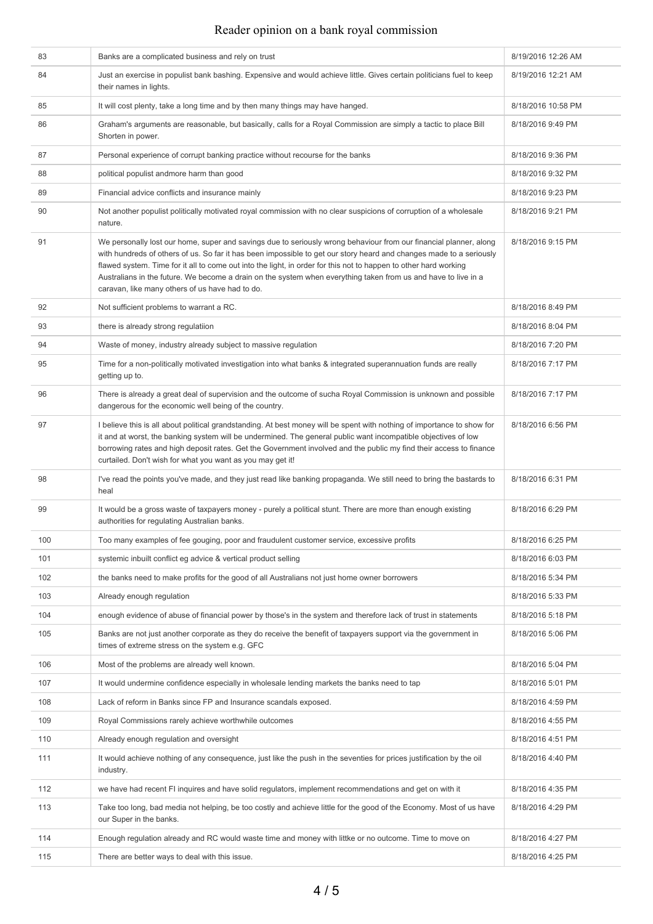| 83  | Banks are a complicated business and rely on trust                                                                                                                                                                                                                                                                                                                                                                                                                                                                                | 8/19/2016 12:26 AM |
|-----|-----------------------------------------------------------------------------------------------------------------------------------------------------------------------------------------------------------------------------------------------------------------------------------------------------------------------------------------------------------------------------------------------------------------------------------------------------------------------------------------------------------------------------------|--------------------|
| 84  | Just an exercise in populist bank bashing. Expensive and would achieve little. Gives certain politicians fuel to keep<br>their names in lights.                                                                                                                                                                                                                                                                                                                                                                                   | 8/19/2016 12:21 AM |
| 85  | It will cost plenty, take a long time and by then many things may have hanged.                                                                                                                                                                                                                                                                                                                                                                                                                                                    | 8/18/2016 10:58 PM |
| 86  | Graham's arguments are reasonable, but basically, calls for a Royal Commission are simply a tactic to place Bill<br>Shorten in power.                                                                                                                                                                                                                                                                                                                                                                                             | 8/18/2016 9:49 PM  |
| 87  | Personal experience of corrupt banking practice without recourse for the banks                                                                                                                                                                                                                                                                                                                                                                                                                                                    | 8/18/2016 9:36 PM  |
| 88  | political populist andmore harm than good                                                                                                                                                                                                                                                                                                                                                                                                                                                                                         | 8/18/2016 9:32 PM  |
| 89  | Financial advice conflicts and insurance mainly                                                                                                                                                                                                                                                                                                                                                                                                                                                                                   | 8/18/2016 9:23 PM  |
| 90  | Not another populist politically motivated royal commission with no clear suspicions of corruption of a wholesale<br>nature.                                                                                                                                                                                                                                                                                                                                                                                                      | 8/18/2016 9:21 PM  |
| 91  | We personally lost our home, super and savings due to seriously wrong behaviour from our financial planner, along<br>with hundreds of others of us. So far it has been impossible to get our story heard and changes made to a seriously<br>flawed system. Time for it all to come out into the light, in order for this not to happen to other hard working<br>Australians in the future. We become a drain on the system when everything taken from us and have to live in a<br>caravan, like many others of us have had to do. | 8/18/2016 9:15 PM  |
| 92  | Not sufficient problems to warrant a RC.                                                                                                                                                                                                                                                                                                                                                                                                                                                                                          | 8/18/2016 8:49 PM  |
| 93  | there is already strong regulatiion                                                                                                                                                                                                                                                                                                                                                                                                                                                                                               | 8/18/2016 8:04 PM  |
| 94  | Waste of money, industry already subject to massive regulation                                                                                                                                                                                                                                                                                                                                                                                                                                                                    | 8/18/2016 7:20 PM  |
| 95  | Time for a non-politically motivated investigation into what banks & integrated superannuation funds are really<br>getting up to.                                                                                                                                                                                                                                                                                                                                                                                                 | 8/18/2016 7:17 PM  |
| 96  | There is already a great deal of supervision and the outcome of sucha Royal Commission is unknown and possible<br>dangerous for the economic well being of the country.                                                                                                                                                                                                                                                                                                                                                           | 8/18/2016 7:17 PM  |
| 97  | I believe this is all about political grandstanding. At best money will be spent with nothing of importance to show for<br>it and at worst, the banking system will be undermined. The general public want incompatible objectives of low<br>borrowing rates and high deposit rates. Get the Government involved and the public my find their access to finance<br>curtailed. Don't wish for what you want as you may get it!                                                                                                     | 8/18/2016 6:56 PM  |
| 98  | I've read the points you've made, and they just read like banking propaganda. We still need to bring the bastards to<br>heal                                                                                                                                                                                                                                                                                                                                                                                                      | 8/18/2016 6:31 PM  |
| 99  | It would be a gross waste of taxpayers money - purely a political stunt. There are more than enough existing<br>authorities for regulating Australian banks.                                                                                                                                                                                                                                                                                                                                                                      | 8/18/2016 6:29 PM  |
| 100 | Too many examples of fee gouging, poor and fraudulent customer service, excessive profits                                                                                                                                                                                                                                                                                                                                                                                                                                         | 8/18/2016 6:25 PM  |
| 101 | systemic inbuilt conflict eg advice & vertical product selling                                                                                                                                                                                                                                                                                                                                                                                                                                                                    | 8/18/2016 6:03 PM  |
| 102 | the banks need to make profits for the good of all Australians not just home owner borrowers                                                                                                                                                                                                                                                                                                                                                                                                                                      | 8/18/2016 5:34 PM  |
| 103 | Already enough regulation                                                                                                                                                                                                                                                                                                                                                                                                                                                                                                         | 8/18/2016 5:33 PM  |
| 104 | enough evidence of abuse of financial power by those's in the system and therefore lack of trust in statements                                                                                                                                                                                                                                                                                                                                                                                                                    | 8/18/2016 5:18 PM  |
| 105 | Banks are not just another corporate as they do receive the benefit of taxpayers support via the government in<br>times of extreme stress on the system e.g. GFC                                                                                                                                                                                                                                                                                                                                                                  | 8/18/2016 5:06 PM  |
| 106 | Most of the problems are already well known.                                                                                                                                                                                                                                                                                                                                                                                                                                                                                      | 8/18/2016 5:04 PM  |
| 107 | It would undermine confidence especially in wholesale lending markets the banks need to tap                                                                                                                                                                                                                                                                                                                                                                                                                                       | 8/18/2016 5:01 PM  |
| 108 | Lack of reform in Banks since FP and Insurance scandals exposed.                                                                                                                                                                                                                                                                                                                                                                                                                                                                  | 8/18/2016 4:59 PM  |
| 109 | Royal Commissions rarely achieve worthwhile outcomes                                                                                                                                                                                                                                                                                                                                                                                                                                                                              | 8/18/2016 4:55 PM  |
| 110 | Already enough regulation and oversight                                                                                                                                                                                                                                                                                                                                                                                                                                                                                           | 8/18/2016 4:51 PM  |
| 111 | It would achieve nothing of any consequence, just like the push in the seventies for prices justification by the oil<br>industry.                                                                                                                                                                                                                                                                                                                                                                                                 | 8/18/2016 4:40 PM  |
| 112 | we have had recent FI inquires and have solid regulators, implement recommendations and get on with it                                                                                                                                                                                                                                                                                                                                                                                                                            | 8/18/2016 4:35 PM  |
| 113 | Take too long, bad media not helping, be too costly and achieve little for the good of the Economy. Most of us have<br>our Super in the banks.                                                                                                                                                                                                                                                                                                                                                                                    | 8/18/2016 4:29 PM  |
| 114 | Enough regulation already and RC would waste time and money with littke or no outcome. Time to move on                                                                                                                                                                                                                                                                                                                                                                                                                            | 8/18/2016 4:27 PM  |
| 115 | There are better ways to deal with this issue.                                                                                                                                                                                                                                                                                                                                                                                                                                                                                    | 8/18/2016 4:25 PM  |